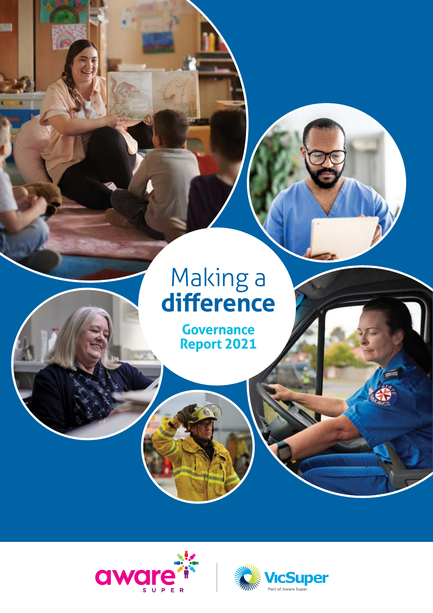# Making a **difference**

**Governance Report 2021**



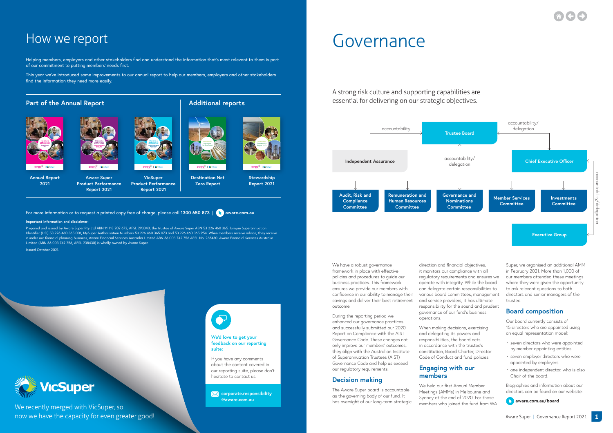Helping members, employers and other stakeholders find and understand the information that's most relevant to them is part of our commitment to putting members' needs first.

> **x** [corporate.responsibility](mailto:corporate.responsibility%40aware.com.au%20?subject=) **[@aware.com.au](mailto:corporate.responsibility%40aware.com.au%20?subject=)**

This year we've introduced some improvements to our annual report to help our members, employers and other stakeholders find the information they need more easily.

#### **Part of the Annual Report Additional reports**

**We'd love to get your feedback on our reporting suite:**

If you have any comments about the content covered in our reporting suite, please don't hesitate to contact us:

**B** Aware Super | Governance Report 2021 **1** We recently merged with VicSuper, so



For more information or to request a printed copy free of charge, please call **1300 650 873** | **[aware.com.au](http://aware.com.au)**

#### **Important information and disclaimer:**

Prepared and issued by Aware Super Pty Ltd ABN 11 118 202 672, AFSL 293340, the trustee of Aware Super ABN 53 226 460 365. Unique Superannuation Identifier (USI) 53 226 460 365 001, MySuper Authorisation Numbers 53 226 460 365 073 and 53 226 460 365 954. When members receive advice, they receive it under our financial planning business, Aware Financial Services Australia Limited ABN 86 003 742 756 AFSL No. 238430. Aware Financial Services Australia Limited (ABN 86 003 742 756, AFSL 238430) is wholly owned by Aware Super.

Issued October 2021.



A strong risk culture and supporting capabilities are essential for delivering on our strategic objectives.

We have a robust governance framework in place with effective policies and procedures to guide our business practices. This framework ensures we provide our members with confidence in our ability to manage their savings and deliver their best retirement outcome

During the reporting period we enhanced our governance practices and successfully submitted our 2020 Report on Compliance with the AIST Governance Code. These changes not only improve our members' outcomes, they align with the Australian Institute of Superannuation Trustees (AIST) Governance Code and help us exceed our regulatory requirements.

#### **Decision making**

The Aware Super board is accountable as the governing body of our fund. It has oversight of our long-term strategic

direction and financial objectives, it monitors our compliance with all regulatory requirements and ensures we operate with integrity. While the board can delegate certain responsibilities to various board committees, management and service providers, it has ultimate responsibility for the sound and prudent governance of our fund's business operations.

When making decisions, exercising and delegating its powers and responsibilities, the board acts in accordance with the trustee's constitution, Board Charter, Director Code of Conduct and fund policies.

#### **Engaging with our members**

We held our first Annual Member Meetings (AMMs) in Melbourne and Sydney at the end of 2020. For those members who joined the fund from WA



Super, we organised an additional AMM in February 2021. More than 1,000 of our members attended these meetings where they were given the opportunity to ask relevant questions to both directors and senior managers of the trustee.

#### **Board composition**

Our board currently consists of 15 directors who are appointed using an equal representation model:

- seven directors who were appointed by member appointing entities
- seven employer directors who were appointed by employers
- one independent director, who is also Chair of the board.

Biographies and information about our directors can be found on our website:

#### **[aware.com.au/board](http://aware.com.au/board)**

## Governance



## How we report

**Annual Report** 



**2021**



**Aware Super Product Performance Report 2021 Product Performance** 

**VicSuper** 

**Report 2021**

**Stewardship Report 2021**

**Destination Net Zero Report**







Making a **difference Product Performance Report 2021**



Stewardship

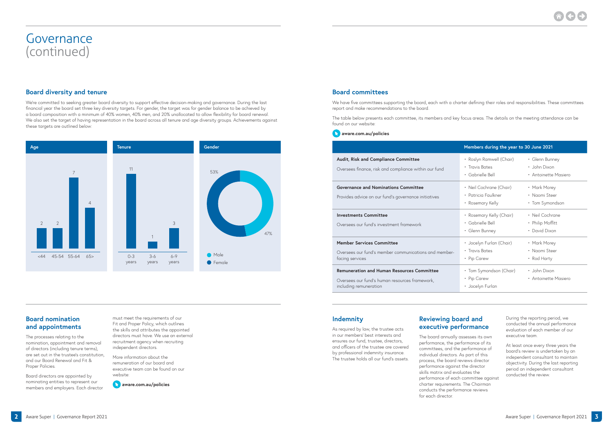#### **Board nomination and appointments**

The processes relating to the nomination, appointment and removal of directors (including tenure terms), are set out in the trustee's constitution, and our Board Renewal and Fit & Proper Policies.

Board directors are appointed by nominating entities to represent our members and employers. Each director must meet the requirements of our Fit and Proper Policy, which outlines the skills and attributes the appointed directors must have. We use an external recruitment agency when recruiting independent directors.

More information about the remuneration of our board and executive team can be found on our website:

**[aware.com.au/policies](https://aware.com.au/about/governance-and-policies/policies)**

#### **Board diversity and tenure**

We're committed to seeking greater board diversity to support effective decision-making and governance. During the last financial year the board set three key diversity targets. For gender, the target was for gender balance to be achieved by a board composition with a minimum of 40% women, 40% men, and 20% unallocated to allow flexibility for board renewal. We also set the target of having representation in the board across all tenure and age diversity groups. Achievements against these targets are outlined below:

#### **Board committees**

We have five committees supporting the board, each with a charter defining their roles and responsibilities. These committees report and make recommendations to the board.

The table below presents each committee, its members and key focus areas. The details on the meeting attendance can be found on our website:

**[aware.com.au/policies](http://aware.com.au/policies)**

#### **Audit, Risk and Compliance Committee**

Oversees finance, risk and compliance within our fund

#### **Governance and Nominations Committee**

Provides advice on our fund's governance initiatives

#### **Investments Committee**

Oversees our fund's investment framework

| Members during the year to 30 June 2021                    |                                      |  |
|------------------------------------------------------------|--------------------------------------|--|
| • Roslyn Ramwell (Chair)                                   | • Glenn Bunney                       |  |
| • Travis Bates                                             | • John Dixon                         |  |
| · Gabrielle Bell                                           | • Antoinette Masiero                 |  |
| • Neil Cochrane (Chair)                                    | • Mark Morey                         |  |
| • Patricia Faulkner                                        | • Naomi Steer                        |  |
| • Rosemary Kelly                                           | • Tom Symondson                      |  |
| • Rosemary Kelly (Chair)                                   | • Neil Cochrane                      |  |
| • Gabrielle Bell                                           | • Philip Moffitt                     |  |
| • Glenn Bunney                                             | • David Dixon                        |  |
| • Jocelyn Furlan (Chair)                                   | • Mark Morey                         |  |
| • Travis Bates                                             | • Naomi Steer                        |  |
| • Pip Carew                                                | • Rod Harty                          |  |
| • Tom Symondson (Chair)<br>• Pip Carew<br>• Jocelyn Furlan | • John Dixon<br>• Antoinette Masiero |  |

#### **Member Services Committee**

Oversees our fund's member communications and memberfacing services

#### **Remuneration and Human Resources Committee**

Oversees our fund's human resources framework, including remuneration

#### **Indemnity**

As required by law, the trustee acts in our members' best interests and ensures our fund, trustee, directors, and officers of the trustee are covered by professional indemnity insurance. The trustee holds all our fund's assets.

### **Reviewing board and executive performance**

The board annually assesses its own performance, the performance of its committees, and the performance of individual directors. As part of this process, the board reviews director performance against the director skills matrix and evaluates the performance of each committee against charter requirements. The Chairman conducts the performance reviews for each director.



During the reporting period, we conducted the annual performance evaluation of each member of our executive team.

At least once every three years the board's review is undertaken by an independent consultant to maintain objectivity. During the last reporting period an independent consultant conducted the review.

### Governance (continued)



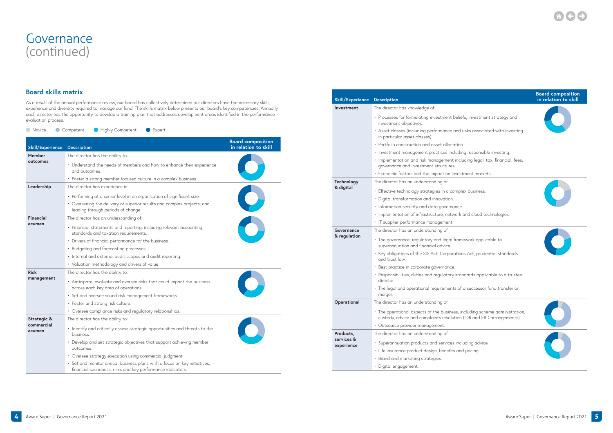#### **Board skills matrix**

As a result of the annual performance review, our board has collectively determined our directors have the necessary skills, experience and diversity required to manage our fund. The skills matrix below presents our board's key competencies. Annually, each director has the opportunity to develop a training plan that addresses development areas identified in the performance evaluation process.

**O** Novice Competent Highly Competent Expert

| <b>Skill/Experience</b> | <b>Description</b>                                                                                                                     | <b>Board composition</b><br>in relation to skill |
|-------------------------|----------------------------------------------------------------------------------------------------------------------------------------|--------------------------------------------------|
| Member                  | The director has the ability to:                                                                                                       |                                                  |
| outcomes                | • Understand the needs of members and how to enhance their experience<br>and outcomes.                                                 |                                                  |
|                         | • Foster a strong member focused culture in a complex business.                                                                        |                                                  |
| Leadership              | The director has experience in:                                                                                                        |                                                  |
|                         | • Performing at a senior level in an organisation of significant size.                                                                 |                                                  |
|                         | • Overseeing the delivery of superior results and complex projects; and<br>leading through periods of change.                          |                                                  |
| Financial               | The director has an understanding of:                                                                                                  |                                                  |
| acumen                  | • Financial statements and reporting, including relevant accounting<br>standards and taxation requirements.                            |                                                  |
|                         | • Drivers of financial performance for the business.                                                                                   |                                                  |
|                         | • Budgeting and forecasting processes.                                                                                                 |                                                  |
|                         | · Internal and external audit scopes and audit reporting.                                                                              |                                                  |
|                         | • Valuation methodology and drivers of value.                                                                                          |                                                  |
| <b>Risk</b>             | The director has the ability to:                                                                                                       |                                                  |
| management              | • Anticipate, evaluate and oversee risks that could impact the business<br>across each key area of operations.                         |                                                  |
|                         | · Set and oversee sound risk management frameworks.                                                                                    |                                                  |
|                         | • Foster and strong risk culture.                                                                                                      |                                                  |
|                         | • Oversee compliance risks and regulatory relationships.                                                                               |                                                  |
| Strategic &             | The director has the ability to:                                                                                                       |                                                  |
| commercial<br>acumen    | · Identify and critically assess strategic opportunities and threats to the<br>business.                                               |                                                  |
|                         | • Develop and set strategic objectives that support achieving member<br>outcomes.                                                      |                                                  |
|                         | · Oversee strategy execution using commercial judgment.                                                                                |                                                  |
|                         | · Set and monitor annual business plans with a focus on key initiatives,<br>financial soundness, risks and key performance indicators. |                                                  |



| <b>Skill/Experience</b>  | <b>Description</b>                                                                             |  |
|--------------------------|------------------------------------------------------------------------------------------------|--|
| Investment               | The director has knowledge of:                                                                 |  |
|                          | • Processes for formulating investment belief<br>investment objectives.                        |  |
|                          | · Asset classes (including performance and r<br>in particular asset classes).                  |  |
|                          | • Portfolio construction and asset allocation.                                                 |  |
|                          | · Investment management practices includin                                                     |  |
|                          | · Implementation and risk management inclu<br>governance and investment structures.            |  |
|                          | · Economic factors and the impact on invest                                                    |  |
| Technology               | The director has an understanding of:                                                          |  |
| & digital                | • Effective technology strategies in a comple                                                  |  |
|                          | • Digital transformation and innovation.                                                       |  |
|                          | • Information security and data governance.                                                    |  |
|                          | • Implementation of infrastructure, network o                                                  |  |
|                          | IT supplier performance management.<br>٠                                                       |  |
| Governance               | The director has an understanding of:                                                          |  |
| & regulation             | • The governance, regulatory and legal frame<br>superannuation and financial advice.           |  |
|                          | • Key obligations of the SIS Act, Corporation<br>and trust law.                                |  |
|                          | • Best practice in corporate governance.                                                       |  |
|                          | • Responsibilities, duties and regulatory stan<br>director.                                    |  |
|                          | · The legal and operational requirements of<br>merger.                                         |  |
| Operational              | The director has an understanding of:                                                          |  |
|                          | • The operational aspects of the business, in<br>custody, advice and complaints resolution     |  |
|                          | · Outsource provider management.                                                               |  |
| Products,                | The director has an understanding of:                                                          |  |
| services &<br>experience | Superannuation products and services inclu<br>٠<br>Life insurance product design, benefits and |  |
|                          | · Brand and marketing strategies.                                                              |  |
|                          |                                                                                                |  |



## Governance (continued)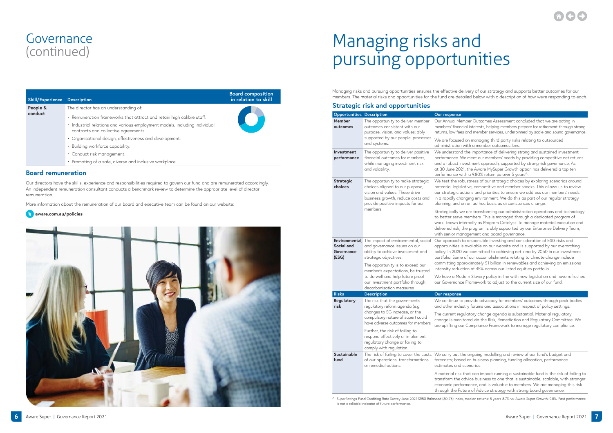| Skill/Experience    | <b>Description</b>                                                                                                                                                                                                                                                                                                                                                                                                           | <b>Board composition</b><br>in relation to skill |
|---------------------|------------------------------------------------------------------------------------------------------------------------------------------------------------------------------------------------------------------------------------------------------------------------------------------------------------------------------------------------------------------------------------------------------------------------------|--------------------------------------------------|
| People &<br>conduct | The director has an understanding of:<br>· Remuneration frameworks that attract and retain high calibre staff.<br>· Industrial relations and various employment models, including individual<br>contracts and collective agreements.<br>• Organisational design, effectiveness and development.<br>• Building workforce capability.<br>· Conduct risk management.<br>• Promoting of a safe, diverse and inclusive workplace. |                                                  |

#### **Board remuneration**

Our directors have the skills, experience and responsibilities required to govern our fund and are remunerated accordingly. An independent remuneration consultant conducts a benchmark review to determine the appropriate level of director remuneration.

More information about the remuneration of our board and executive team can be found on our website:





Managing risks and pursuing opportunities ensures the effective delivery of our strategy and supports better outcomes for our members. The material risks and opportunities for the fund are detailed below with a description of how we're responding to each.

#### **Strategic risk and opportunities**

that can impact running a sustainable fund is the risk of failing to advice business to one that is sustainable, scalable, with stronger economic performance, and is valuable to members. We are managing this risk through the Future of Advice strategy with strong board governance.

^ SuperRatings Fund Crediting Rate Survey June 2021 SR50 Balanced (60-76) Index, median returns: 5 years 8.7% vs. Aware Super Growth: 9.8%. Past performance is not a reliable indicator of future performance

mber Outcomes Assessment concluded that we are acting in cial interests, helping members prepare for retirement through strong s and member services, underpinned by scale and sound governance.

on managing third party risks relating to outsourced with a member outcomes lens.

the importance of delivering strong and sustained investment Ve meet our members' needs by providing competitive net returns vestment approach, supported by strong risk governance. As 21, the Aware MySuper Growth option has delivered a top ten ith a 9.80% return pa over 5 years $^{\wedge}$ .

bustness of our strategic choices by exploring scenarios around lative, competitive and member shocks. This allows us to review ctions and priorities to ensure we address our members' needs anging environment. We do this as part of our regular strategy on an ad hoc basis as circumstances change.

ve are transforming our administration operations and technology members. This is managed through a dedicated program of ternally as Program Catalyst. To manage material execution and the program is ably supported by our Enterprise Delivery Team, nagement and board governance.

to responsible investing and consideration of ESG risks and available on our website and is supported by our overarching we committed to achieving net zero by 2050 in our investment of our accomplishments relating to climate change include proximately \$1 billion in renewables and achieving an emissions tion of 45% across our listed equities portfolio.

lern Slavery policy in line with new legislation and have refreshed e Framework to adjust to the current size of our fund.

provide advocacy for members' outcomes through peak bodies stry forums and associations in respect of policy settings.

julatory change agenda is substantial. Material regulatory tored via the Risk, Remediation and Regulatory Committee. We r Compliance Framework to manage regulatory compliance.

he ongoing modelling and review of our fund's budget and ed on business planning, funding allocation, performance scenarios

| <b>Opportunities</b>                                | <b>Description</b>                                                                                                                                                              | Our response                                                                                  |
|-----------------------------------------------------|---------------------------------------------------------------------------------------------------------------------------------------------------------------------------------|-----------------------------------------------------------------------------------------------|
| <b>Member</b><br>outcomes                           | The opportunity to deliver member<br>outcomes consistent with our<br>purpose, vision, and values; ably<br>supported by our people, processes                                    | Our Annual Mer<br>members' financ<br>returns, low fees<br>We are focusec                      |
|                                                     | and systems.                                                                                                                                                                    | administration                                                                                |
| Investment<br>performance                           | The opportunity to deliver positive<br>financial outcomes for members,<br>while managing investment risk<br>and volatility.                                                     | We understand<br>performance. W<br>and a robust in<br>at 30 June 202<br>performance wi        |
| <b>Strategic</b><br>choices                         | The opportunity to make strategic<br>choices aligned to our purpose,<br>vision and values. These drive<br>business growth, reduce costs and<br>provide positive impacts for our | We test the rob<br>potential legisk<br>our strategic a<br>in a rapidly cha<br>planning, and o |
|                                                     | members.                                                                                                                                                                        | Strategically w<br>to better serve<br>work, known int<br>delivered risk, t<br>with senior mar |
| Environmental,<br>Social and<br>Governance<br>(ESG) | The impact of environmental, social<br>and governance issues on our<br>ability to achieve investment and<br>strategic objectives.                                               | Our approach t<br>opportunities is<br>policy. In 2020<br>portfolio. Some                      |
|                                                     | The opportunity is to exceed our<br>member's expectations, be trusted<br>to do well and help future proof<br>our investment portfolio through<br>decarbonisation measures.      | committing app<br>intensity reduct<br>We have a Moc<br>our Governance                         |
| <b>Risks</b>                                        | <b>Description</b>                                                                                                                                                              | Our response                                                                                  |
| Regulatory<br>risk                                  | The risk that the government's<br>regulatory reform agenda (e.g.                                                                                                                | We continue to<br>and other indus                                                             |
|                                                     | changes to SG increase, or the<br>compulsory nature of super) could<br>have adverse outcomes for members.                                                                       | The current reg<br>change is moni<br>are uplifting ou                                         |
|                                                     | Further, the risk of failing to<br>respond effectively or implement<br>regulatory change or failing to<br>comply with regulation.                                               |                                                                                               |
| <b>Sustainable</b><br>fund                          | The risk of failing to cover the costs We carry out th<br>of our operations, transformations<br>or remedial actions.                                                            | forecasts; base<br>estimates and :                                                            |
|                                                     |                                                                                                                                                                                 | A material risk<br>transform the c<br>economic perfo<br>فتنته والمستطر والمستنفذ              |

# Managing risks and pursuing opportunities

## Governance (continued)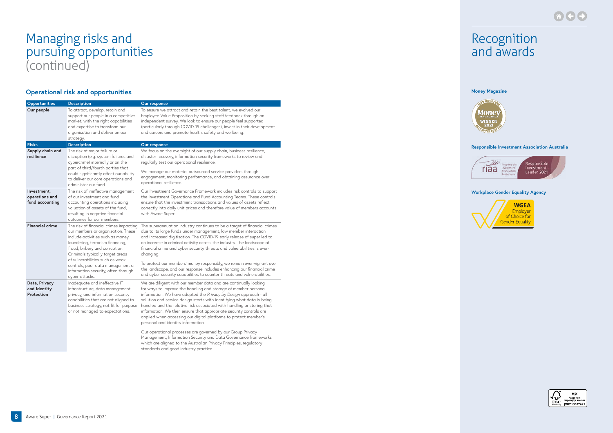### **Operational risk and opportunities**

| Opportunities                                    | <b>Description</b>                                                                                                                                                                                                                                                                                                                                          | Our response                                                                                                                                                                                                                                                                                                                                                                                                                                                                                                                                                                                                            |
|--------------------------------------------------|-------------------------------------------------------------------------------------------------------------------------------------------------------------------------------------------------------------------------------------------------------------------------------------------------------------------------------------------------------------|-------------------------------------------------------------------------------------------------------------------------------------------------------------------------------------------------------------------------------------------------------------------------------------------------------------------------------------------------------------------------------------------------------------------------------------------------------------------------------------------------------------------------------------------------------------------------------------------------------------------------|
| Our people                                       | To attract, develop, retain and<br>support our people in a competitive<br>market; with the right capabilities<br>and expertise to transform our<br>organisation and deliver on our<br>strategy.                                                                                                                                                             | To ensure we attract and retain the best talent, we evolved our<br>Employee Value Proposition by seeking staff feedback through an<br>independent survey. We look to ensure our people feel supported<br>(particularly through COVID-19 challenges), invest in their development<br>and careers and promote health, safety and wellbeing.                                                                                                                                                                                                                                                                               |
| <b>Risks</b>                                     | <b>Description</b>                                                                                                                                                                                                                                                                                                                                          | Our response                                                                                                                                                                                                                                                                                                                                                                                                                                                                                                                                                                                                            |
| Supply chain and<br>resilience                   | The risk of major failure or<br>disruption (e.g. system failures and<br>cybercrime) internally or on the<br>part of third/fourth parties that<br>could significantly affect our ability<br>to deliver our core operations and<br>administer our fund.                                                                                                       | We focus on the oversight of our supply chain, business resilience,<br>disaster recovery, information security frameworks to review and<br>regularly test our operational resilience.<br>We manage our material outsourced service providers through<br>engagement, monitoring performance, and obtaining assurance over<br>operational resilience.                                                                                                                                                                                                                                                                     |
| Investment,<br>operations and<br>fund accounting | The risk of ineffective management<br>of our investment and fund<br>accounting operations including<br>valuation of assets of the fund,<br>resulting in negative financial<br>outcomes for our members.                                                                                                                                                     | Our Investment Governance Framework includes risk controls to support<br>the Investment Operations and Fund Accounting Teams. These controls<br>ensure that the investment transactions and values of assets reflect<br>correctly into daily unit prices and therefore value of members accounts<br>with Aware Super.                                                                                                                                                                                                                                                                                                   |
| <b>Financial crime</b>                           | The risk of financial crimes impacting<br>our members or organisation. These<br>include activities such as money<br>laundering, terrorism financing,<br>fraud, bribery and corruption.<br>Criminals typically target areas<br>of vulnerabilities such as weak<br>controls, poor data management or<br>information security, often through<br>cyber-attacks. | The superannuation industry continues to be a target of financial crimes<br>due to its large funds under management, low member interaction<br>and increased digitisation. The COVID-19 early release of super led to<br>an increase in criminal activity across the industry. The landscape of<br>financial crime and cyber security threats and vulnerabilities is ever-<br>changing.<br>To protect our members' money responsibly, we remain ever-vigilant over<br>the landscape, and our response includes enhancing our financial crime<br>and cyber security capabilities to counter threats and vulnerabilities. |
| Data, Privacy<br>and Identity<br>Protection      | Inadequate and ineffective IT<br>infrastructure, data management,<br>privacy, and information security<br>capabilities that are not aligned to<br>business strategy, not fit for purpose<br>or not managed to expectations.                                                                                                                                 | We are diligent with our member data and are continually looking<br>for ways to improve the handling and storage of member personal<br>information. We have adopted the Privacy by Design approach - all<br>solution and service design starts with identifying what data is being<br>handled and the relative risk associated with handling or storing that<br>information. We then ensure that appropriate security controls are<br>applied when accessing our digital platforms to protect member's<br>personal and identity information.                                                                            |
|                                                  |                                                                                                                                                                                                                                                                                                                                                             | Our operational processes are governed by our Group Privacy<br>Management, Information Security and Data Governance frameworks<br>which are aligned to the Australian Privacy Principles, regulatory<br>standards and good industry practice.                                                                                                                                                                                                                                                                                                                                                                           |



## Managing risks and pursuing opportunities (continued)

### Recognition and awards

#### **Workplace Gender Equality Agency**





#### **Money Magazine**



#### **Responsible Investment Association Australia**